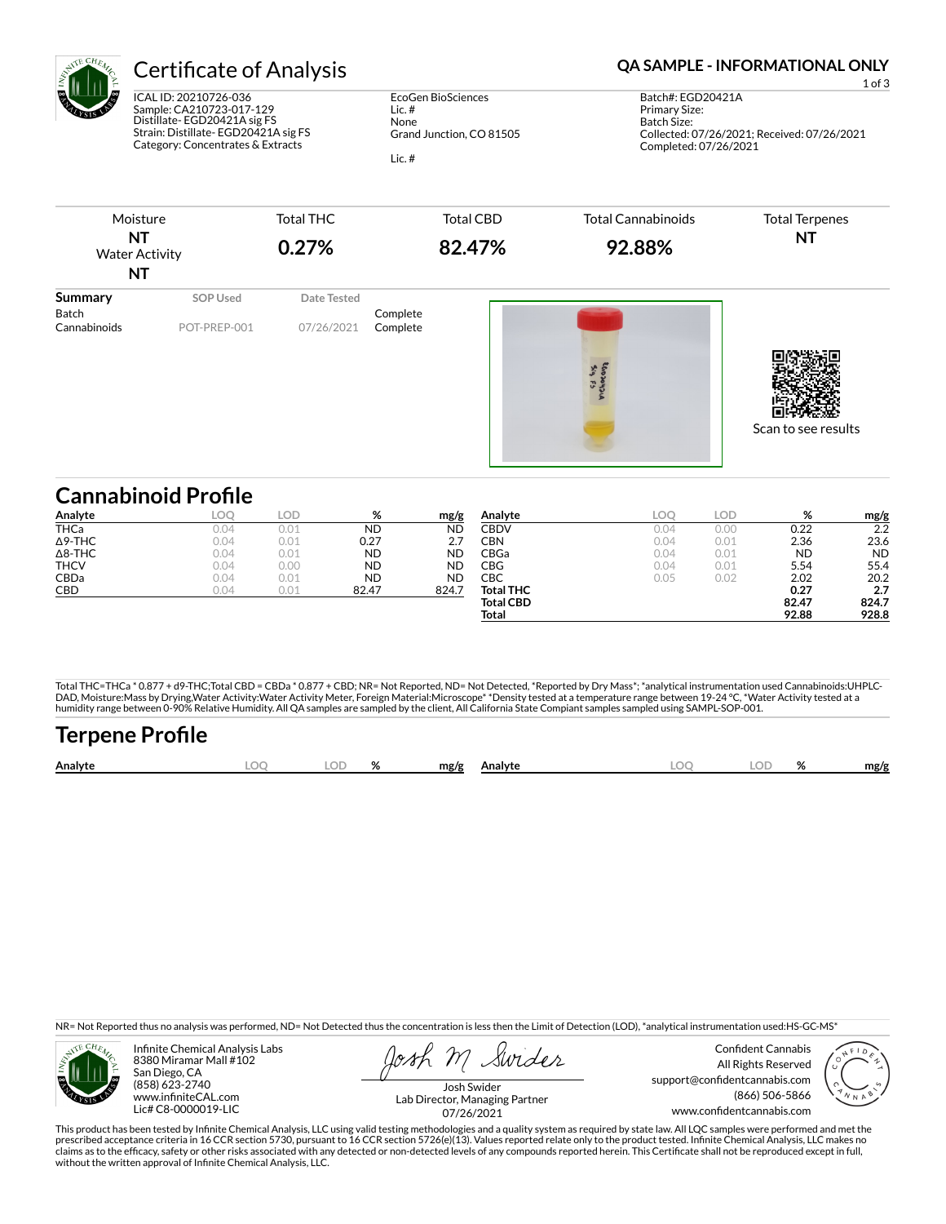

ICAL ID: 20210726-036 Sample: CA210723-017-129 Distillate- EGD20421A sig FS Strain: Distillate- EGD20421A sig FS Category: Concentrates & Extracts

EcoGen BioSciences Lic. # None Grand Junction, CO 81505 Lic. #

# Certificate of Analysis **Certificate of Analysis QA SAMPLE - INFORMATIONAL ONLY**

1 of 3

Batch#: EGD20421A Primary Size: Batch Size: Collected: 07/26/2021; Received: 07/26/2021 Completed: 07/26/2021



| <b>Cannabinoid Profile</b> |            |      |           |           |                  |      |      |           |           |
|----------------------------|------------|------|-----------|-----------|------------------|------|------|-----------|-----------|
| Analyte                    | <b>LOO</b> | LOD  | %         | mg/g      | Analyte          | LOC  | LOD  | %         | mg/g      |
| <b>THCa</b>                | 0.04       | 0.01 | <b>ND</b> | <b>ND</b> | <b>CBDV</b>      | 0.04 | 0.00 | 0.22      | 2.2       |
| $\Delta$ 9-THC             | 0.04       | 0.01 | 0.27      | 2.7       | CBN              | 0.04 | 0.01 | 2.36      | 23.6      |
| $\Delta$ 8-THC             | 0.04       | 0.01 | <b>ND</b> | <b>ND</b> | CBGa             | 0.04 | 0.01 | <b>ND</b> | <b>ND</b> |
| <b>THCV</b>                | 0.04       | 0.00 | <b>ND</b> | <b>ND</b> | CBG              | 0.04 | 0.01 | 5.54      | 55.4      |
| CBDa                       | 0.04       | 0.01 | <b>ND</b> | <b>ND</b> | CBC              | 0.05 | 0.02 | 2.02      | 20.2      |
| CBD                        | 0.04       | 0.01 | 82.47     | 824.7     | <b>Total THC</b> |      |      | 0.27      | 2.7       |
|                            |            |      |           |           | <b>Total CBD</b> |      |      | 82.47     | 824.7     |
|                            |            |      |           |           | Total            |      |      | 92.88     | 928.8     |

Total THC=THCa \* 0.877 + d9-THC;Total CBD = CBDa \* 0.877 + CBD; NR= Not Reported, ND= Not Detected, \*Reported by Dry Mass\*; \*analytical instrumentation used Cannabinoids:UHPLC-DAD, Moisture:Mass by Drying,Water Activity:Water Activity Meter, Foreign Material:Microscope\* \*Density tested at a temperature range between 19-24 °C, \*Water Activity tested at a<br>humidity range between 0-90% Relative Humi

| <b>Terpene Profile</b> |      |       |              |  |     |       |      |
|------------------------|------|-------|--------------|--|-----|-------|------|
| Analyte                | LOO. | LOD % | mg/g Analyte |  | LOO | LOD % | mg/g |

NR= Not Reported thus no analysis was performed, ND= Not Detected thus the concentration is less then the Limit of Detection (LOD), \*analytical instrumentation used:HS-GC-MS\*



Infinite Chemical Analysis Labs 8380 Miramar Mall #102 San Diego, CA (858) 623-2740 www.infiniteCAL.com Lic# C8-0000019-LIC

Swider

Confident Cannabis All Rights Reserved support@confidentcannabis.com (866) 506-5866 www.confidentcannabis.com



Josh Swider Lab Director, Managing Partner 07/26/2021

This product has been tested by Infinite Chemical Analysis, LLC using valid testing methodologies and a quality system as required by state law. All LQC samples were performed and met the prescribed acceptance criteria in 16 CCR section 5730, pursuant to 16 CCR section 5726(e)(13). Values reported relate only to the product tested. Infinite Chemical Analysis, LLC makes no<br>claims as to the efficacy, safety o without the written approval of Infinite Chemical Analysis, LLC.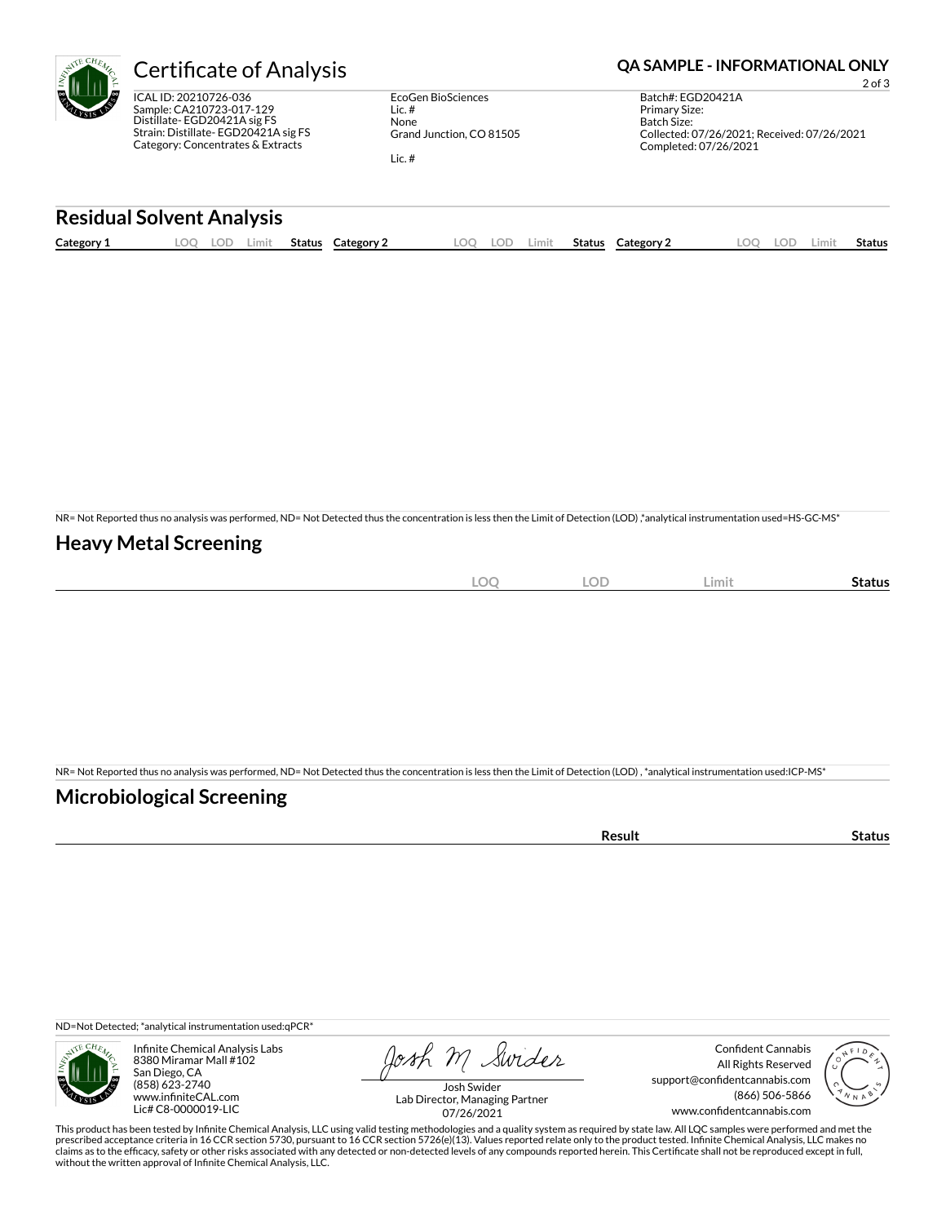

ICAL ID: 20210726-036 Sample: CA210723-017-129 Distillate- EGD20421A sig FS Strain: Distillate- EGD20421A sig FS Category: Concentrates & Extracts

EcoGen BioSciences Lic. # None Grand Junction, CO 81505 Lic. #

Certificate of Analysis **Certificate of Analysis QA SAMPLE - INFORMATIONAL ONLY** 

2 of 3

Batch#: EGD20421A Primary Size: Batch Size: Collected: 07/26/2021; Received: 07/26/2021 Completed: 07/26/2021

### **Residual Solvent Analysis**

| Category 1 | LOO | LOD | Limit | <b>Status</b> | Category 2 | .00 | LOD | Limit | Status | Category 2 | OO | LOD. | .imit | Status |
|------------|-----|-----|-------|---------------|------------|-----|-----|-------|--------|------------|----|------|-------|--------|
|            |     |     |       |               |            |     |     |       |        |            |    |      |       |        |

NR= Not Reported thus no analysis was performed, ND= Not Detected thus the concentration is less then the Limit of Detection (LOD) ,\*analytical instrumentation used=HS-GC-MS\*

# **Heavy Metal Screening**

| $\sim$ $\sim$ $\sim$<br>-w | <b>LOD</b><br>$\sim$<br>$\sim$ | Limit | Status |
|----------------------------|--------------------------------|-------|--------|
|                            |                                |       |        |

NR= Not Reported thus no analysis was performed, ND= Not Detected thus the concentration is less then the Limit of Detection (LOD) , \*analytical instrumentation used:ICP-MS\*

# **Microbiological Screening**

| ` sult ∴ |  |
|----------|--|
|          |  |

ND=Not Detected; \*analytical instrumentation used:qPCR\*



Infinite Chemical Analysis Labs 8380 Miramar Mall #102 San Diego, CA (858) 623-2740 www.infiniteCAL.com Lic# C8-0000019-LIC

Josh M Swider

Confident Cannabis All Rights Reserved support@confidentcannabis.com (866) 506-5866 www.confidentcannabis.com



Josh Swider Lab Director, Managing Partner 07/26/2021

This product has been tested by Infinite Chemical Analysis, LLC using valid testing methodologies and a quality system as required by state law. All LQC samples were performed and met the prescribed acceptance criteria in 16 CCR section 5730, pursuant to 16 CCR section 5726(e)(13). Values reported relate only to the product tested. Infinite Chemical Analysis, LLC makes no<br>claims as to the efficacy, safety o without the written approval of Infinite Chemical Analysis, LLC.